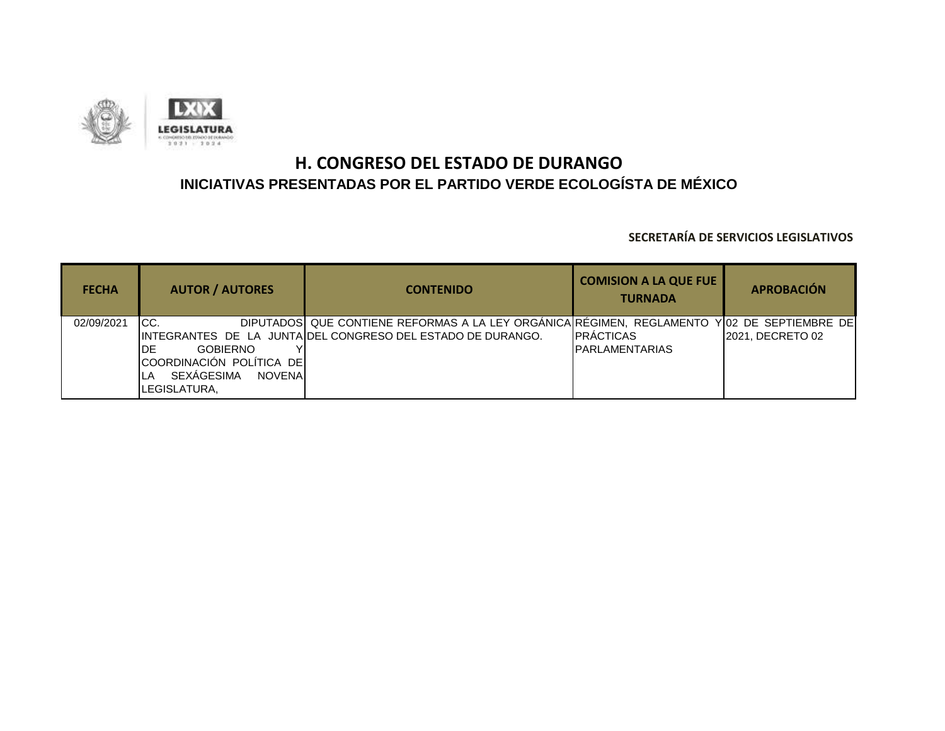

| <b>FECHA</b> | <b>AUTOR / AUTORES</b>              | <b>CONTENIDO</b>                                                                            | <b>COMISION A LA QUE FUE</b><br><b>TURNADA</b> | <b>APROBACIÓN</b> |
|--------------|-------------------------------------|---------------------------------------------------------------------------------------------|------------------------------------------------|-------------------|
| 02/09/2021   | ICC.                                | DIPUTADOS QUE CONTIENE REFORMAS A LA LEY ORGÁNICA RÉGIMEN, REGLAMENTO Y 02 DE SEPTIEMBRE DE |                                                |                   |
|              |                                     | IINTEGRANTES DE LA JUNTAIDEL CONGRESO DEL ESTADO DE DURANGO.                                | <b>IPRACTICAS</b>                              | 2021. DECRETO 02  |
|              | IDE<br><b>GOBIERNO</b>              |                                                                                             | <b>IPARLAMENTARIAS</b>                         |                   |
|              | COORDINACIÓN POLÍTICA DE            |                                                                                             |                                                |                   |
|              | SEXÁGESIMA<br><b>NOVENAL</b><br>ILA |                                                                                             |                                                |                   |
|              | LEGISLATURA,                        |                                                                                             |                                                |                   |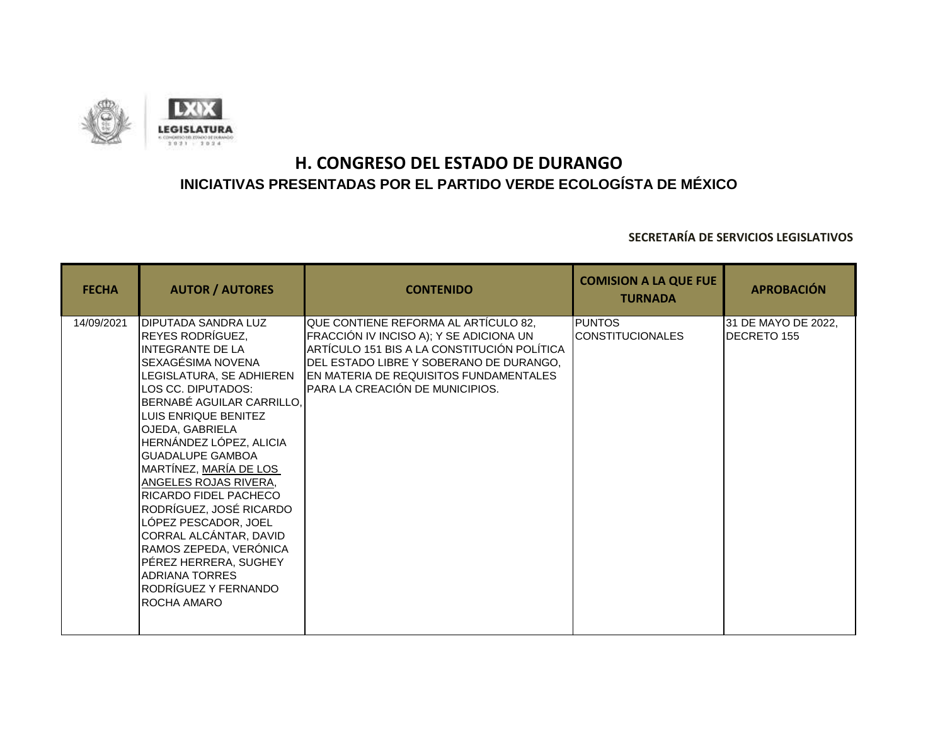

| <b>FECHA</b> | <b>AUTOR / AUTORES</b>                                                                                                                                                                                                                                                                                                                                                                                                                                                                                                                       | <b>CONTENIDO</b>                                                                                                                                                                                                                                       | <b>COMISION A LA QUE FUE</b><br><b>TURNADA</b> | <b>APROBACIÓN</b>                  |
|--------------|----------------------------------------------------------------------------------------------------------------------------------------------------------------------------------------------------------------------------------------------------------------------------------------------------------------------------------------------------------------------------------------------------------------------------------------------------------------------------------------------------------------------------------------------|--------------------------------------------------------------------------------------------------------------------------------------------------------------------------------------------------------------------------------------------------------|------------------------------------------------|------------------------------------|
| 14/09/2021   | DIPUTADA SANDRA LUZ<br>REYES RODRÍGUEZ,<br><b>INTEGRANTE DE LA</b><br>SEXAGÉSIMA NOVENA<br>LEGISLATURA, SE ADHIEREN<br>LOS CC. DIPUTADOS:<br>BERNABÉ AGUILAR CARRILLO,<br>LUIS ENRIQUE BENITEZ<br>OJEDA, GABRIELA<br>HERNÁNDEZ LÓPEZ, ALICIA<br><b>GUADALUPE GAMBOA</b><br>MARTÍNEZ, MARÍA DE LOS<br>ANGELES ROJAS RIVERA,<br>RICARDO FIDEL PACHECO<br>RODRÍGUEZ, JOSÉ RICARDO<br>LÓPEZ PESCADOR, JOEL<br>CORRAL ALCÁNTAR, DAVID<br>RAMOS ZEPEDA, VERÓNICA<br>PÉREZ HERRERA, SUGHEY<br>ADRIANA TORRES<br>RODRÍGUEZ Y FERNANDO<br>ROCHA AMARO | QUE CONTIENE REFORMA AL ARTÍCULO 82,<br>FRACCIÓN IV INCISO A); Y SE ADICIONA UN<br>ARTÍCULO 151 BIS A LA CONSTITUCIÓN POLÍTICA<br>DEL ESTADO LIBRE Y SOBERANO DE DURANGO,<br>EN MATERIA DE REQUISITOS FUNDAMENTALES<br>PARA LA CREACIÓN DE MUNICIPIOS. | <b>PUNTOS</b><br><b>CONSTITUCIONALES</b>       | 31 DE MAYO DE 2022,<br>DECRETO 155 |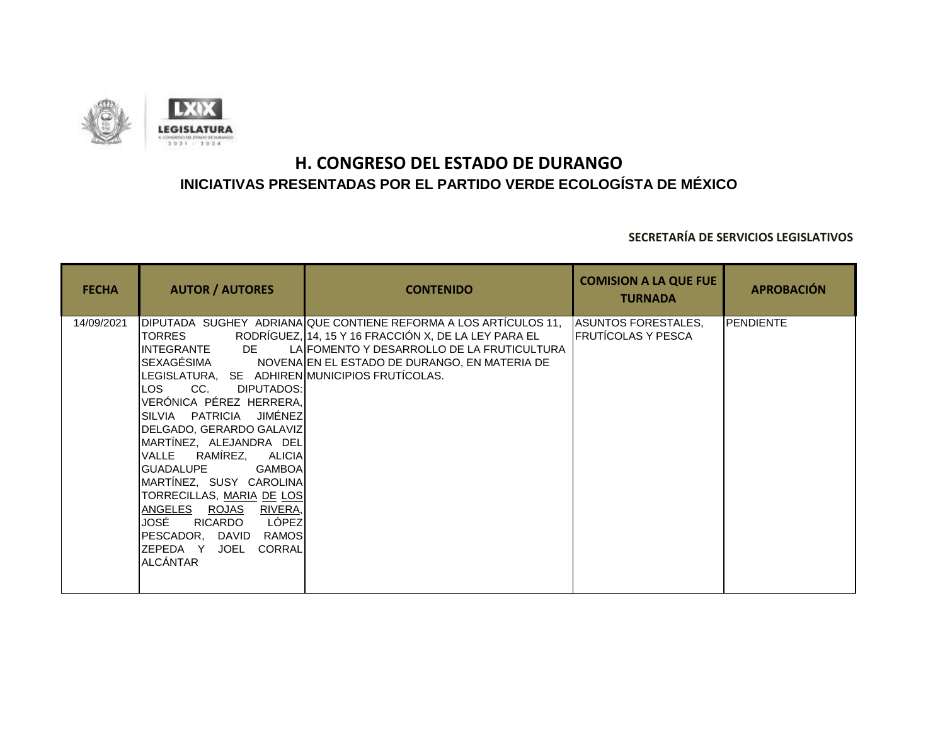

| <b>FECHA</b> | <b>AUTOR / AUTORES</b>                                                                                                                                                                                                                                                                                                                                                                                                                                                                                  | <b>CONTENIDO</b>                                                                                                                                                                                                        | <b>COMISION A LA QUE FUE</b><br><b>TURNADA</b>          | <b>APROBACIÓN</b> |
|--------------|---------------------------------------------------------------------------------------------------------------------------------------------------------------------------------------------------------------------------------------------------------------------------------------------------------------------------------------------------------------------------------------------------------------------------------------------------------------------------------------------------------|-------------------------------------------------------------------------------------------------------------------------------------------------------------------------------------------------------------------------|---------------------------------------------------------|-------------------|
| 14/09/2021   | <b>TORRES</b><br>DE<br>IINTEGRANTE<br>SEXAGÉSIMA<br>LEGISLATURA, SE ADHIREN MUNICIPIOS FRUTÍCOLAS.<br>CC.<br>ILOS I<br>DIPUTADOS:<br>VERÓNICA PÉREZ HERRERA,<br>SILVIA PATRICIA JIMÉNEZ<br>DELGADO, GERARDO GALAVIZ<br>MARTÍNEZ, ALEJANDRA DEL<br>RAMÍREZ,<br>VALLE<br>ALICIAI<br>IGUADALUPE<br><b>GAMBOA</b><br>MARTINEZ, SUSY CAROLINA<br>TORRECILLAS, MARIA DE LOS<br>ANGELES ROJAS RIVERA<br>LÓPEZ<br>JOSÉ<br>RICARDO<br>IPESCADOR. DAVID<br>RAMOS<br>ZEPEDA Y<br>CORRAL<br>JOEL<br><b>ALCÁNTAR</b> | DIPUTADA SUGHEY ADRIANA QUE CONTIENE REFORMA A LOS ARTÍCULOS 11,<br>RODRÍGUEZ, 14, 15 Y 16 FRACCIÓN X, DE LA LEY PARA EL<br>LAIFOMENTO Y DESARROLLO DE LA FRUTICULTURA<br>NOVENA EN EL ESTADO DE DURANGO, EN MATERIA DE | <b>ASUNTOS FORESTALES,</b><br><b>FRUTÍCOLAS Y PESCA</b> | PENDIENTE         |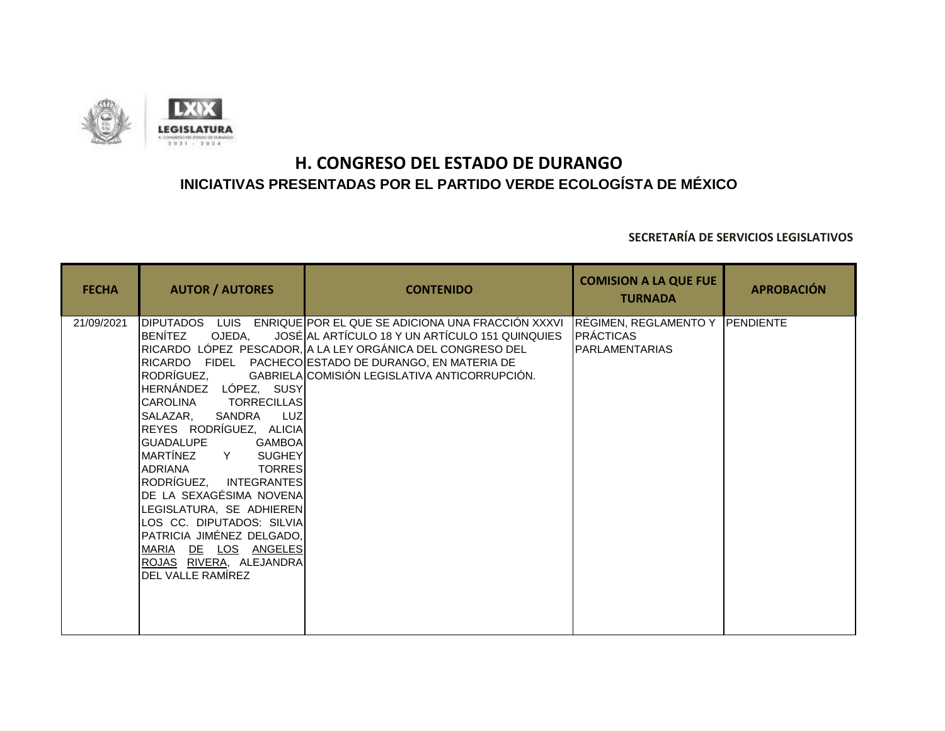

| <b>FECHA</b> | <b>AUTOR / AUTORES</b>                                                                                                                                                                                                                                                                                                                                                                                                                                                                                    | <b>CONTENIDO</b>                                                                                                                                                                                                                                                              | <b>COMISION A LA QUE FUE</b><br><b>TURNADA</b>                               | <b>APROBACIÓN</b> |
|--------------|-----------------------------------------------------------------------------------------------------------------------------------------------------------------------------------------------------------------------------------------------------------------------------------------------------------------------------------------------------------------------------------------------------------------------------------------------------------------------------------------------------------|-------------------------------------------------------------------------------------------------------------------------------------------------------------------------------------------------------------------------------------------------------------------------------|------------------------------------------------------------------------------|-------------------|
| 21/09/2021   | <b>DIPUTADOS LUIS</b><br>BENÍTEZ<br>OJEDA.<br>RODRÍGUEZ,<br>HERNÁNDEZ LÓPEZ, SUSY<br><b>CAROLINA</b><br><b>TORRECILLAS</b><br>SALAZAR,<br>SANDRA<br><b>LUZ</b><br>REYES RODRÍGUEZ, ALICIA<br><b>GUADALUPE</b><br><b>GAMBOA</b><br>MARTÍNEZ<br>Y SUGHEY<br>IADRIANA<br><b>TORRES</b><br>RODRÍGUEZ,<br>INTEGRANTES<br>DE LA SEXAGÉSIMA NOVENA<br>LEGISLATURA, SE ADHIEREN<br>LOS CC. DIPUTADOS: SILVIA<br>PATRICIA JIMÉNEZ DELGADO,<br>MARIA DE LOS ANGELES<br>ROJAS RIVERA, ALEJANDRA<br>DEL VALLE RAMÍREZ | ENRIQUE POR EL QUE SE ADICIONA UNA FRACCIÓN XXXVI<br>JOSÉ AL ARTÍCULO 18 Y UN ARTÍCULO 151 QUINQUIES<br>RICARDO LÓPEZ PESCADOR, A LA LEY ORGÁNICA DEL CONGRESO DEL<br>RICARDO FIDEL PACHECO ESTADO DE DURANGO, EN MATERIA DE<br>GABRIELA COMISIÓN LEGISLATIVA ANTICORRUPCIÓN. | RÉGIMEN, REGLAMENTO Y PENDIENTE<br><b>PRÁCTICAS</b><br><b>PARLAMENTARIAS</b> |                   |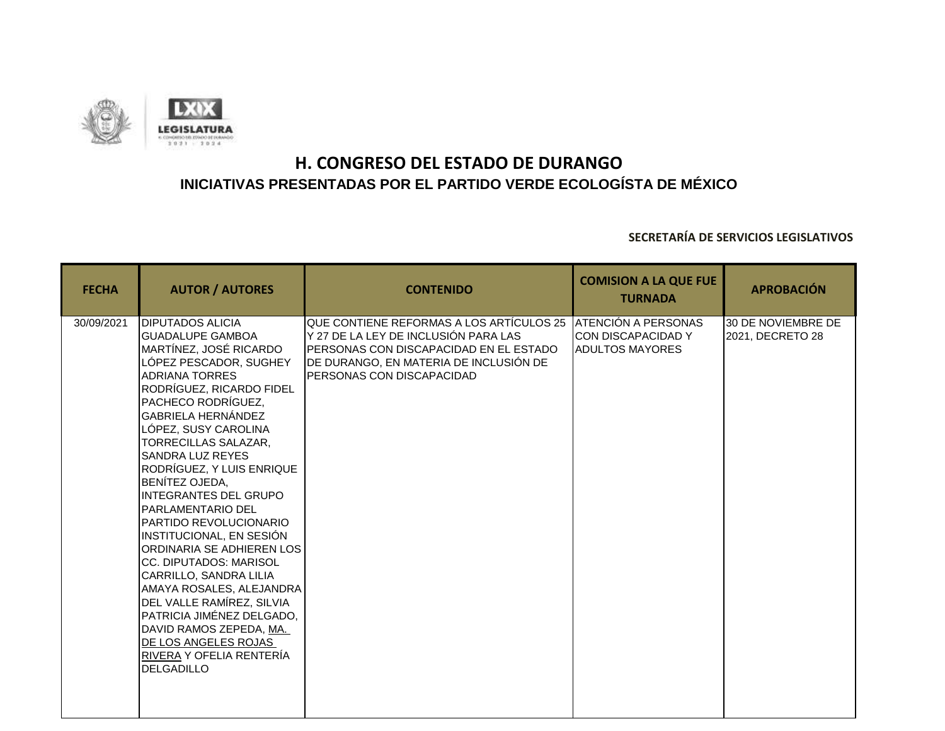

| <b>FECHA</b> | <b>AUTOR / AUTORES</b>                                                                                                                                                                                                                                                                                                                                                                                                                                                                                                                                                                                                                                                                                                                                  | <b>CONTENIDO</b>                                                                                                                                                                                                      | <b>COMISION A LA QUE FUE</b><br><b>TURNADA</b>       | <b>APROBACIÓN</b>                      |
|--------------|---------------------------------------------------------------------------------------------------------------------------------------------------------------------------------------------------------------------------------------------------------------------------------------------------------------------------------------------------------------------------------------------------------------------------------------------------------------------------------------------------------------------------------------------------------------------------------------------------------------------------------------------------------------------------------------------------------------------------------------------------------|-----------------------------------------------------------------------------------------------------------------------------------------------------------------------------------------------------------------------|------------------------------------------------------|----------------------------------------|
| 30/09/2021   | <b>DIPUTADOS ALICIA</b><br><b>IGUADALUPE GAMBOA</b><br>MARTÍNEZ, JOSÉ RICARDO<br>LÓPEZ PESCADOR, SUGHEY<br><b>ADRIANA TORRES</b><br>RODRÍGUEZ, RICARDO FIDEL<br>PACHECO RODRÍGUEZ.<br><b>GABRIELA HERNÁNDEZ</b><br>LÓPEZ, SUSY CAROLINA<br>TORRECILLAS SALAZAR,<br><b>SANDRA LUZ REYES</b><br>RODRÍGUEZ, Y LUIS ENRIQUE<br>BENÍTEZ OJEDA,<br><b>INTEGRANTES DEL GRUPO</b><br><b>IPARLAMENTARIO DEL</b><br>PARTIDO REVOLUCIONARIO<br>INSTITUCIONAL, EN SESIÓN<br>ORDINARIA SE ADHIEREN LOS<br><b>CC. DIPUTADOS: MARISOL</b><br><b>I</b> CARRILLO. SANDRA LILIA<br>AMAYA ROSALES, ALEJANDRA<br>DEL VALLE RAMÍREZ, SILVIA<br>PATRICIA JIMÉNEZ DELGADO,<br>DAVID RAMOS ZEPEDA, MA.<br>DE LOS ANGELES ROJAS<br>RIVERA Y OFELIA RENTERÍA<br><b>DELGADILLO</b> | QUE CONTIENE REFORMAS A LOS ARTÍCULOS 25 ATENCIÓN A PERSONAS<br>Y 27 DE LA LEY DE INCLUSIÓN PARA LAS<br>PERSONAS CON DISCAPACIDAD EN EL ESTADO<br>DE DURANGO, EN MATERIA DE INCLUSIÓN DE<br>PERSONAS CON DISCAPACIDAD | <b>ICON DISCAPACIDAD Y</b><br><b>ADULTOS MAYORES</b> | 30 DE NOVIEMBRE DE<br>2021, DECRETO 28 |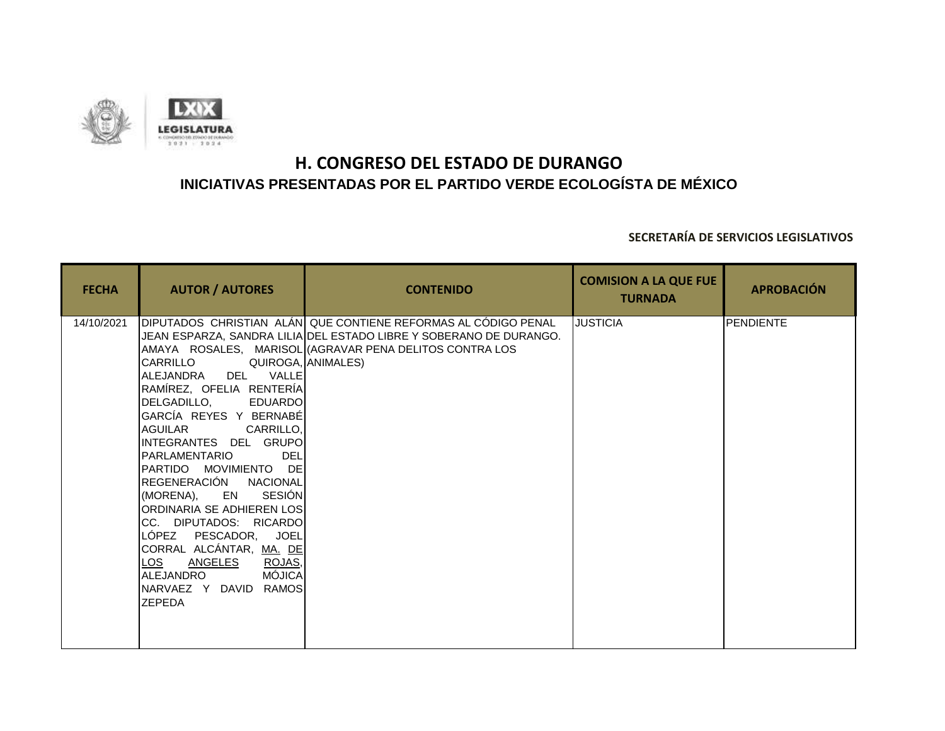

| <b>FECHA</b> | <b>AUTOR / AUTORES</b>                                                                                                                                                                                                                                                                                                                                                                                                                                                                            | <b>CONTENIDO</b>                                                                                                                                                                                                      | <b>COMISION A LA QUE FUE</b><br><b>TURNADA</b> | <b>APROBACIÓN</b> |
|--------------|---------------------------------------------------------------------------------------------------------------------------------------------------------------------------------------------------------------------------------------------------------------------------------------------------------------------------------------------------------------------------------------------------------------------------------------------------------------------------------------------------|-----------------------------------------------------------------------------------------------------------------------------------------------------------------------------------------------------------------------|------------------------------------------------|-------------------|
| 14/10/2021   | CARRILLO<br>IALEJANDRA DEL VALLEI<br>RAMÍREZ, OFELIA RENTERÍA<br>DELGADILLO, EDUARDO<br>GARCÍA REYES Y BERNABÉ<br>AGUILAR<br>CARRILLO.<br>INTEGRANTES DEL GRUPOI<br>IPARLAMENTARIO<br>DEL<br>PARTIDO MOVIMIENTO DE<br>REGENERACIÓN NACIONAL<br><b>SESIÓN</b><br>(MORENA). EN<br>ORDINARIA SE ADHIEREN LOS<br>CC. DIPUTADOS: RICARDO<br>LÓPEZ PESCADOR, JOEL<br>CORRAL ALCÁNTAR, MA. DE<br>LOS<br><b>ANGELES</b><br>ROJAS,<br><b>MÓJICA</b><br>ALEJANDRO<br>NARVAEZ Y DAVID RAMOS<br><b>ZEPEDA</b> | DIPUTADOS CHRISTIAN ALÁN QUE CONTIENE REFORMAS AL CÓDIGO PENAL<br>JEAN ESPARZA, SANDRA LILIA DEL ESTADO LIBRE Y SOBERANO DE DURANGO.<br>AMAYA ROSALES, MARISOL (AGRAVAR PENA DELITOS CONTRA LOS<br>QUIROGA, ANIMALES) | <b>JUSTICIA</b>                                | PENDIENTE         |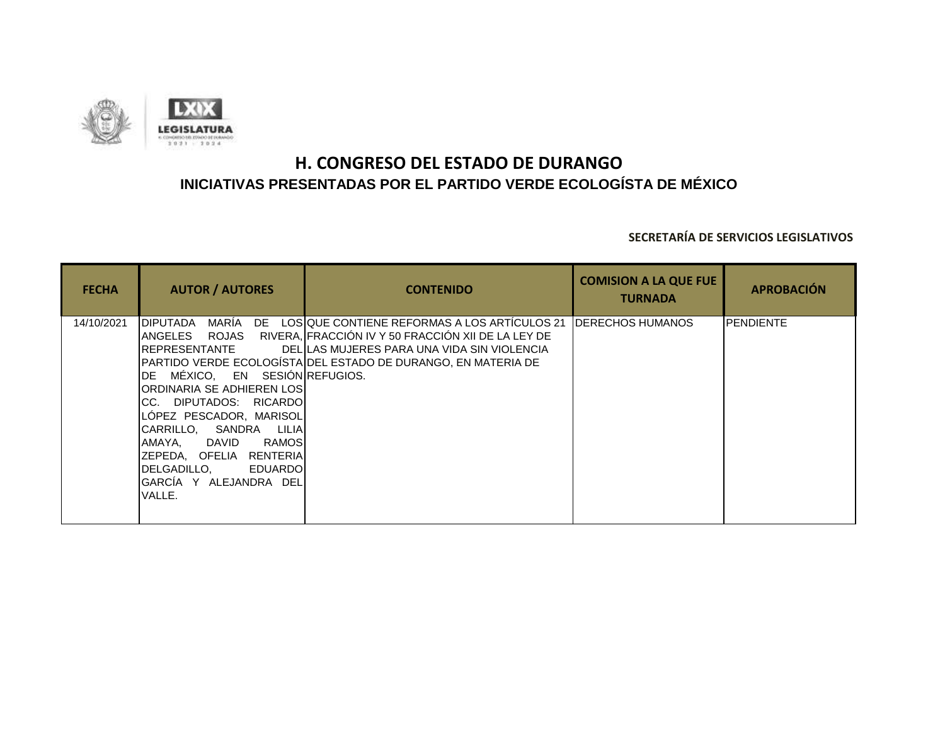

| <b>FECHA</b> | <b>AUTOR / AUTORES</b>                                                                                                                                                                                                                                                                                                                                 | <b>CONTENIDO</b>                                                                                                                                                                                                            | <b>COMISION A LA QUE FUE</b><br><b>TURNADA</b> | <b>APROBACIÓN</b> |
|--------------|--------------------------------------------------------------------------------------------------------------------------------------------------------------------------------------------------------------------------------------------------------------------------------------------------------------------------------------------------------|-----------------------------------------------------------------------------------------------------------------------------------------------------------------------------------------------------------------------------|------------------------------------------------|-------------------|
| 14/10/2021   | MARÍA<br><b>I</b> DIPUTADA<br>IANGELES<br>IREPRESENTANTE<br>MÉXICO, EN SESIÓN REFUGIOS.<br>IDE -<br>IORDINARIA SE ADHIEREN LOS <b>I</b><br>ICC. DIPUTADOS: RICARDO <b>I</b><br>LOPEZ PESCADOR, MARISOL<br>CARRILLO, SANDRA LILIA<br>RAMOS<br>AMAYA.<br>DAVID<br>IZEPEDA, OFELIA RENTERIAI<br>DELGADILLO, EDUARDO<br>IGARCIA Y ALEJANDRA DELI<br>VALLE. | DE LOSIQUE CONTIENE REFORMAS A LOS ARTICULOS 21<br>ROJAS RIVERA. FRACCIÓN IV Y 50 FRACCIÓN XII DE LA LEY DE<br>DELILAS MUJERES PARA UNA VIDA SIN VIOLENCIA<br>PARTIDO VERDE ECOLOGÍSTA DEL ESTADO DE DURANGO, EN MATERIA DE | <b>IDERECHOS HUMANOS</b>                       | <b>PENDIENTE</b>  |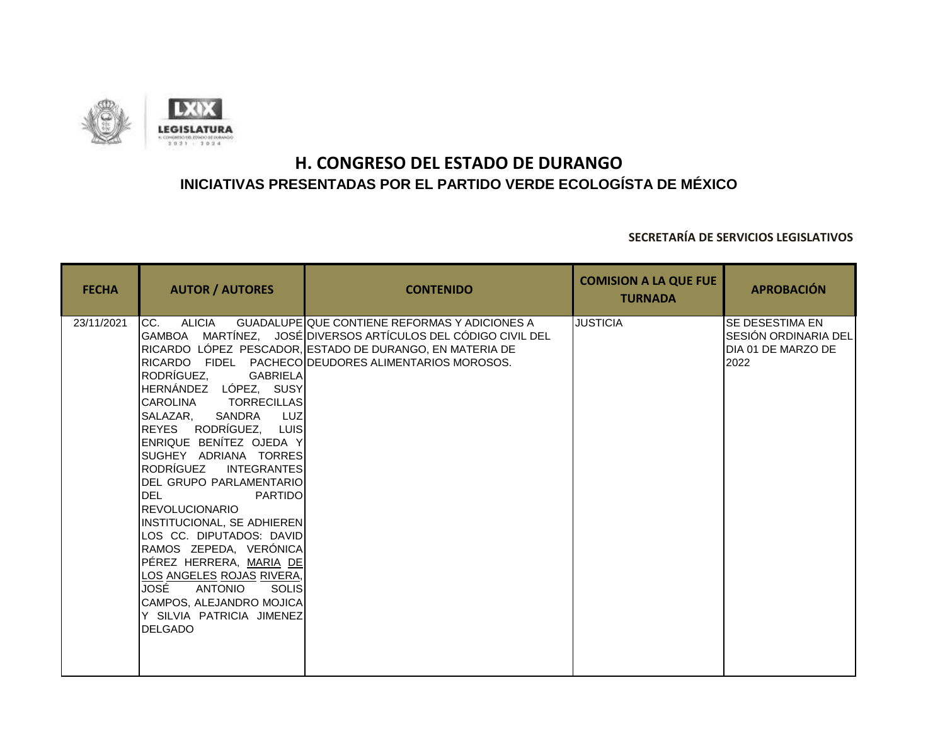

| <b>FECHA</b> | <b>AUTOR / AUTORES</b>                                                                                                                                                                                                                                                                                                                                                                                                                                                                                                                                                                                             | <b>CONTENIDO</b>                                                                                                                                                                                                                          | <b>COMISION A LA QUE FUE</b><br><b>TURNADA</b> | <b>APROBACIÓN</b>                                                     |
|--------------|--------------------------------------------------------------------------------------------------------------------------------------------------------------------------------------------------------------------------------------------------------------------------------------------------------------------------------------------------------------------------------------------------------------------------------------------------------------------------------------------------------------------------------------------------------------------------------------------------------------------|-------------------------------------------------------------------------------------------------------------------------------------------------------------------------------------------------------------------------------------------|------------------------------------------------|-----------------------------------------------------------------------|
| 23/11/2021   | ALICIA<br>CC.<br>RODRÍGUEZ,<br><b>GABRIELA</b><br>HERNÁNDEZ LÓPEZ, SUSY<br><b>TORRECILLAS</b><br><b>CAROLINA</b><br>SANDRA<br>SALAZAR,<br><b>LUZ</b><br>REYES RODRÍGUEZ, LUIS<br>ENRIQUE BENÍTEZ OJEDA Y<br>SUGHEY ADRIANA TORRES<br>RODRÍGUEZ<br><b>INTEGRANTES</b><br>DEL GRUPO PARLAMENTARIO<br><b>DEL</b><br><b>PARTIDO</b><br><b>REVOLUCIONARIO</b><br>INSTITUCIONAL, SE ADHIEREN<br>LOS CC. DIPUTADOS: DAVID<br>RAMOS ZEPEDA, VERONICA<br>PÉREZ HERRERA, MARIA DE<br><u>LOS ANGELES ROJAS RIVERA,</u><br>JOSÉ<br>ANTONIO<br>SOLIS<br>CAMPOS, ALEJANDRO MOJICA<br>Y SILVIA PATRICIA JIMENEZ<br><b>DELGADO</b> | <b>GUADALUPE QUE CONTIENE REFORMAS Y ADICIONES A</b><br>GAMBOA MARTÍNEZ, JOSÉ DIVERSOS ARTÍCULOS DEL CÓDIGO CIVIL DEL<br>RICARDO LÓPEZ PESCADOR, ESTADO DE DURANGO, EN MATERIA DE<br>RICARDO FIDEL PACHECO DEUDORES ALIMENTARIOS MOROSOS. | <b>JUSTICIA</b>                                | SE DESESTIMA EN<br>SESIÓN ORDINARIA DEL<br>DIA 01 DE MARZO DE<br>2022 |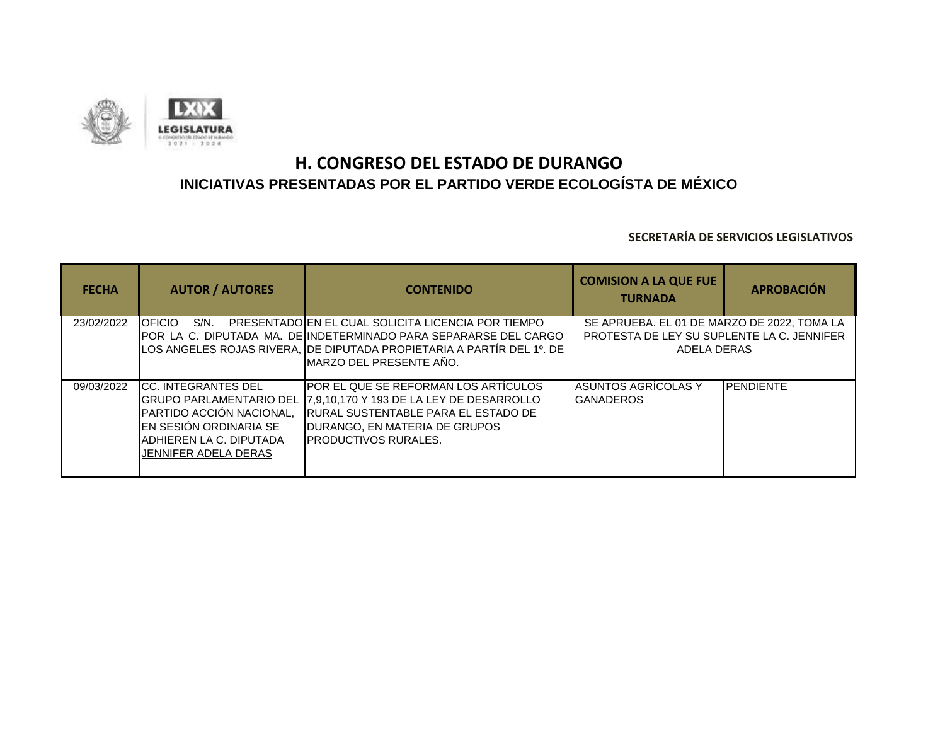

| <b>FECHA</b> | <b>AUTOR / AUTORES</b>                                                                                                                                             | <b>CONTENIDO</b>                                                                                                                                                                                                            | <b>COMISION A LA QUE FUE</b><br><b>TURNADA</b>                                                           | <b>APROBACIÓN</b> |
|--------------|--------------------------------------------------------------------------------------------------------------------------------------------------------------------|-----------------------------------------------------------------------------------------------------------------------------------------------------------------------------------------------------------------------------|----------------------------------------------------------------------------------------------------------|-------------------|
| 23/02/2022   | <b>OFICIO</b><br>$S/N$ .                                                                                                                                           | PRESENTADO EN EL CUAL SOLICITA LICENCIA POR TIEMPO<br>POR LA C. DIPUTADA MA. DE INDETERMINADO PARA SEPARARSE DEL CARGO<br>LOS ANGELES ROJAS RIVERA, DE DIPUTADA PROPIETARIA A PARTÍR DEL 1º. DE<br>IMARZO DEL PRESENTE AÑO. | SE APRUEBA. EL 01 DE MARZO DE 2022, TOMA LA<br>PROTESTA DE LEY SU SUPLENTE LA C. JENNIFER<br>ADELA DERAS |                   |
| 09/03/2022   | <b>ICC. INTEGRANTES DEL</b><br>IGRUPO PARLAMENTARIO DEL<br>PARTIDO ACCIÓN NACIONAL,<br>IEN SESIÓN ORDINARIA SE<br>IADHIEREN LA C. DIPUTADA<br>JENNIFER ADELA DERAS | <b>IPOR EL QUE SE REFORMAN LOS ARTICULOS</b><br>. <b>1</b> 7.9.10.170 Y 193 DE LA LEY DE DESARROLLO<br><b>IRURAL SUSTENTABLE PARA EL ESTADO DE</b><br>IDURANGO. EN MATERIA DE GRUPOS<br><b>IPRODUCTIVOS RURALES.</b>        | <b>ASUNTOS AGRÍCOLAS Y</b><br><b>GANADEROS</b>                                                           | <b>IPENDIENTE</b> |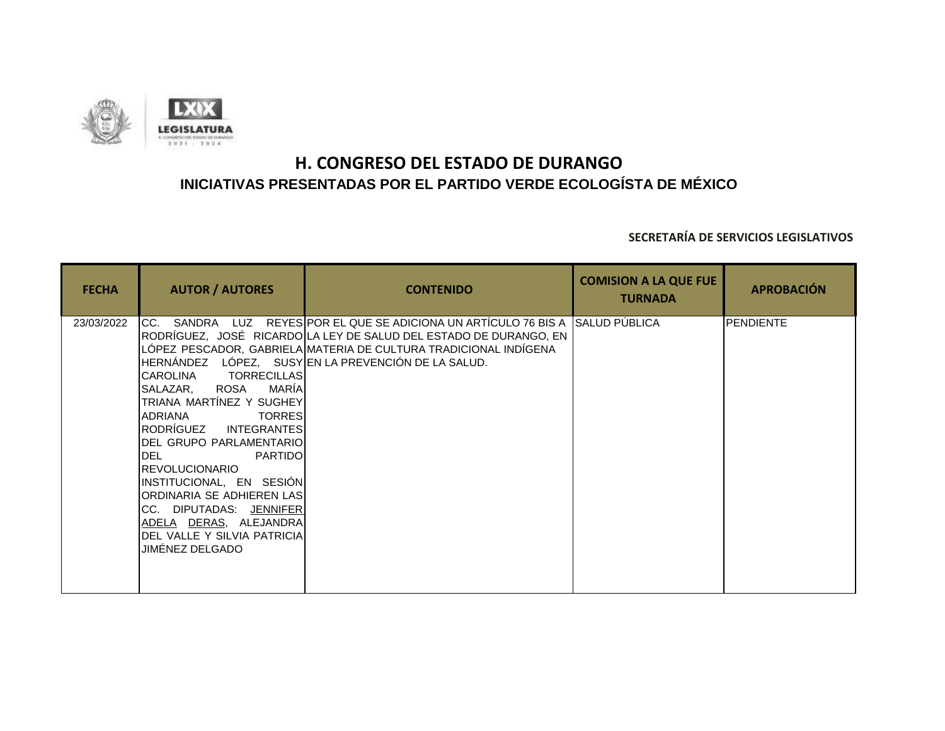

| <b>FECHA</b> | <b>AUTOR / AUTORES</b>                                                                                                                                                                                                                                                                                                                                                                                          | <b>CONTENIDO</b>                                                                                                                                                                                                                                                                       | <b>COMISION A LA QUE FUE</b><br><b>TURNADA</b> | <b>APROBACIÓN</b> |
|--------------|-----------------------------------------------------------------------------------------------------------------------------------------------------------------------------------------------------------------------------------------------------------------------------------------------------------------------------------------------------------------------------------------------------------------|----------------------------------------------------------------------------------------------------------------------------------------------------------------------------------------------------------------------------------------------------------------------------------------|------------------------------------------------|-------------------|
| 23/03/2022   | <b>TORRECILLAS</b><br><b>CAROLINA</b><br>SALAZAR, ROSA<br>MARÍA<br>TRIANA MARTÍNEZ Y SUGHEY<br><b>ADRIANA</b><br><b>TORRES</b><br>RODRÍGUEZ INTEGRANTES<br>IDEL GRUPO PARLAMENTARIOI<br><b>I</b> DEL<br><b>PARTIDO</b><br><b>REVOLUCIONARIO</b><br>INSTITUCIONAL, EN SESIÓN<br>ORDINARIA SE ADHIEREN LAS<br>CC. DIPUTADAS: JENNIFER<br>ADELA DERAS, ALEJANDRA<br>DEL VALLE Y SILVIA PATRICIA<br>JIMÉNEZ DELGADO | ICC. SANDRA  LUZ  REYESIPOR EL QUE SE ADICIONA UN ARTICULO 76 BIS A【SALUD PUBLICA<br>RODRÍGUEZ,   JOSÉ   RICARDO LA LEY DE SALUD DEL ESTADO DE DURANGO, EN l<br>LÓPEZ PESCADOR, GABRIELA MATERIA DE CULTURA TRADICIONAL INDÍGENA<br>HERNÁNDEZ LÓPEZ, SUSYEN LA PREVENCIÓN DE LA SALUD. |                                                | PENDIENTE         |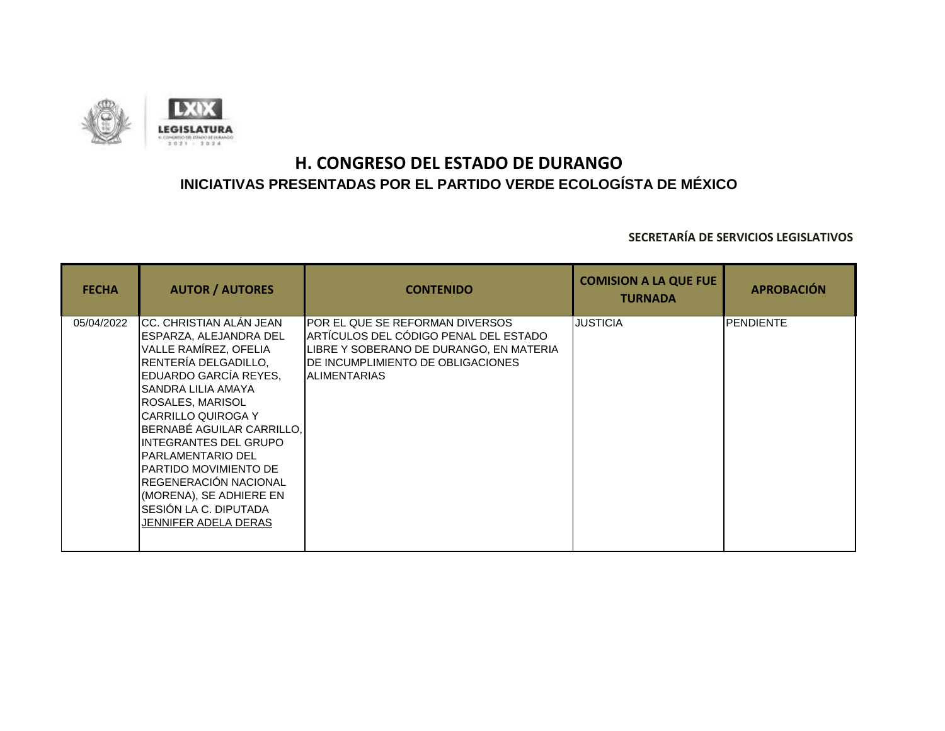

| <b>FECHA</b> | <b>AUTOR / AUTORES</b>                                                                                                                                                                                                                                                                                                                                                                                                           | <b>CONTENIDO</b>                                                                                                                                                                 | <b>COMISION A LA QUE FUE</b><br><b>TURNADA</b> | <b>APROBACIÓN</b> |
|--------------|----------------------------------------------------------------------------------------------------------------------------------------------------------------------------------------------------------------------------------------------------------------------------------------------------------------------------------------------------------------------------------------------------------------------------------|----------------------------------------------------------------------------------------------------------------------------------------------------------------------------------|------------------------------------------------|-------------------|
| 05/04/2022   | CC. CHRISTIAN ALÁN JEAN<br>ESPARZA, ALEJANDRA DEL<br>VALLE RAMÍREZ, OFELIA<br>RENTERÍA DELGADILLO,<br>EDUARDO GARCÍA REYES,<br>SANDRA LILIA AMAYA<br><b>ROSALES, MARISOL</b><br><b>CARRILLO QUIROGA Y</b><br>BERNABÉ AGUILAR CARRILLO.<br><b>INTEGRANTES DEL GRUPO</b><br><b>PARLAMENTARIO DEL</b><br>PARTIDO MOVIMIENTO DE<br>REGENERACIÓN NACIONAL<br>(MORENA), SE ADHIERE EN<br>SESIÓN LA C. DIPUTADA<br>JENNIFER ADELA DERAS | POR EL QUE SE REFORMAN DIVERSOS<br>ARTÍCULOS DEL CÓDIGO PENAL DEL ESTADO<br>LIBRE Y SOBERANO DE DURANGO, EN MATERIA<br>DE INCUMPLIMIENTO DE OBLIGACIONES<br><b>IALIMENTARIAS</b> | <b>JUSTICIA</b>                                | <b>PENDIENTE</b>  |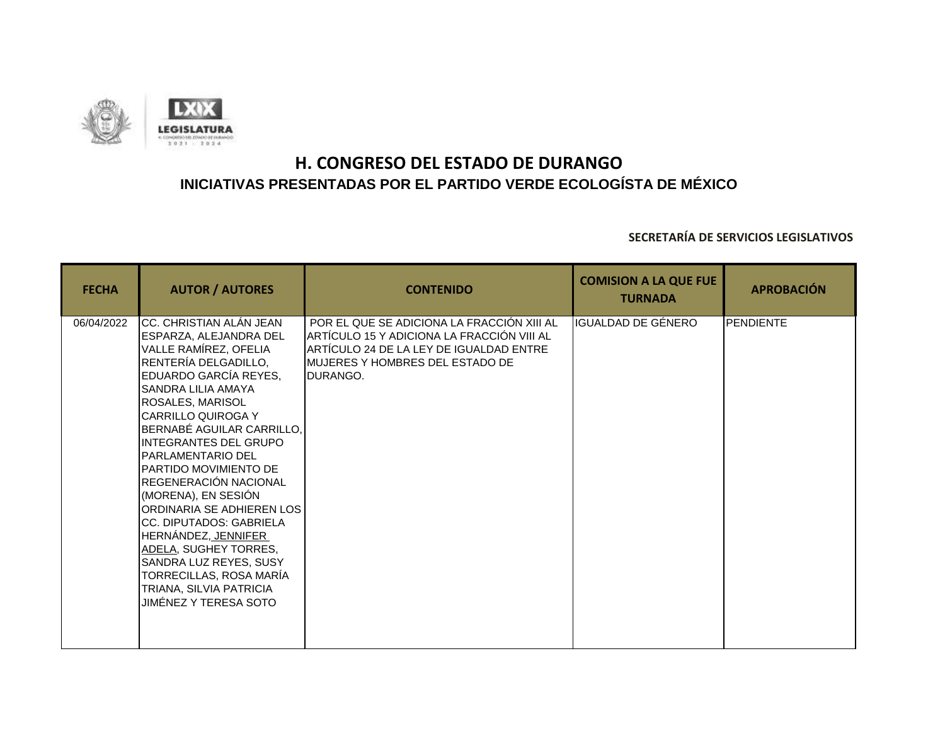

| <b>FECHA</b> | <b>AUTOR / AUTORES</b>                                                                                                                                                                                                                                                                                                                                                                                                                                                                                                                                                                           | <b>CONTENIDO</b>                                                                                                                                                                           | <b>COMISION A LA QUE FUE</b><br><b>TURNADA</b> | <b>APROBACIÓN</b> |
|--------------|--------------------------------------------------------------------------------------------------------------------------------------------------------------------------------------------------------------------------------------------------------------------------------------------------------------------------------------------------------------------------------------------------------------------------------------------------------------------------------------------------------------------------------------------------------------------------------------------------|--------------------------------------------------------------------------------------------------------------------------------------------------------------------------------------------|------------------------------------------------|-------------------|
| 06/04/2022   | CC. CHRISTIAN ALÁN JEAN<br>ESPARZA, ALEJANDRA DEL<br>VALLE RAMÍREZ, OFELIA<br>RENTERÍA DELGADILLO,<br>EDUARDO GARCÍA REYES,<br><b>SANDRA LILIA AMAYA</b><br>ROSALES, MARISOL<br><b>I</b> CARRILLO QUIROGA Y<br>BERNABÉ AGUILAR CARRILLO,<br><b>INTEGRANTES DEL GRUPO</b><br><b>PARLAMENTARIO DEL</b><br>PARTIDO MOVIMIENTO DE<br>REGENERACIÓN NACIONAL<br>(MORENA), EN SESIÓN<br>ORDINARIA SE ADHIEREN LOS I<br>CC. DIPUTADOS: GABRIELA<br>HERNÁNDEZ, JENNIFER<br>ADELA, SUGHEY TORRES,<br>SANDRA LUZ REYES, SUSY<br>TORRECILLAS, ROSA MARÍA<br>TRIANA, SILVIA PATRICIA<br>JIMÉNEZ Y TERESA SOTO | POR EL QUE SE ADICIONA LA FRACCIÓN XIII AL<br>ARTÍCULO 15 Y ADICIONA LA FRACCIÓN VIII AL<br>ARTÍCULO 24 DE LA LEY DE IGUALDAD ENTRE<br>MUJERES Y HOMBRES DEL ESTADO DE<br><b>IDURANGO.</b> | IGUALDAD DE GÉNERO                             | <b>PENDIENTE</b>  |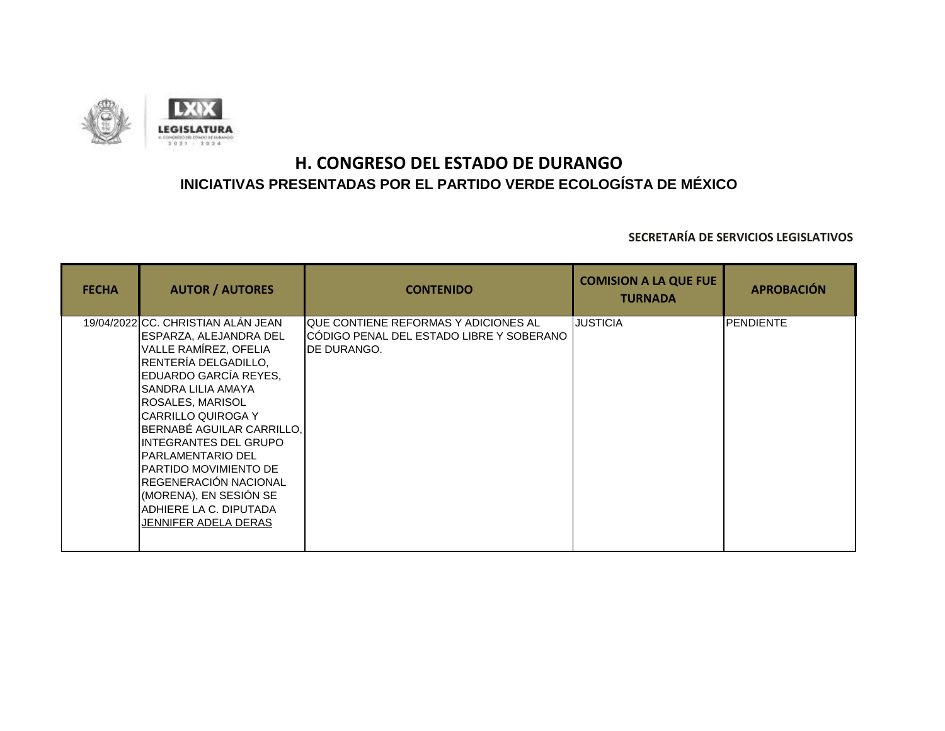

| <b>FECHA</b> | <b>AUTOR / AUTORES</b>                                                                                                                                                                                                                                                                                                                                                                                                                | <b>CONTENIDO</b>                                                                                   | <b>COMISION A LA QUE FUE</b><br><b>TURNADA</b> | <b>APROBACIÓN</b> |
|--------------|---------------------------------------------------------------------------------------------------------------------------------------------------------------------------------------------------------------------------------------------------------------------------------------------------------------------------------------------------------------------------------------------------------------------------------------|----------------------------------------------------------------------------------------------------|------------------------------------------------|-------------------|
|              | 19/04/2022 CC. CHRISTIAN ALÁN JEAN<br>ESPARZA, ALEJANDRA DEL<br>VALLE RAMÍREZ, OFELIA<br>RENTERÍA DELGADILLO,<br>EDUARDO GARCÍA REYES,<br>SANDRA LILIA AMAYA<br><b>ROSALES, MARISOL</b><br>ICARRILLO QUIROGA Y<br>BERNABÉ AGUILAR CARRILLO,<br><b>INTEGRANTES DEL GRUPO</b><br><b>PARLAMENTARIO DEL</b><br>PARTIDO MOVIMIENTO DE<br>REGENERACIÓN NACIONAL<br>(MORENA), EN SESIÓN SE<br>ADHIERE LA C. DIPUTADA<br>JENNIFER ADELA DERAS | IQUE CONTIENE REFORMAS Y ADICIONES AL<br>ICÓDIGO PENAL DEL ESTADO LIBRE Y SOBERANO<br>IDE DURANGO. | <b>JUSTICIA</b>                                | <b>PENDIENTE</b>  |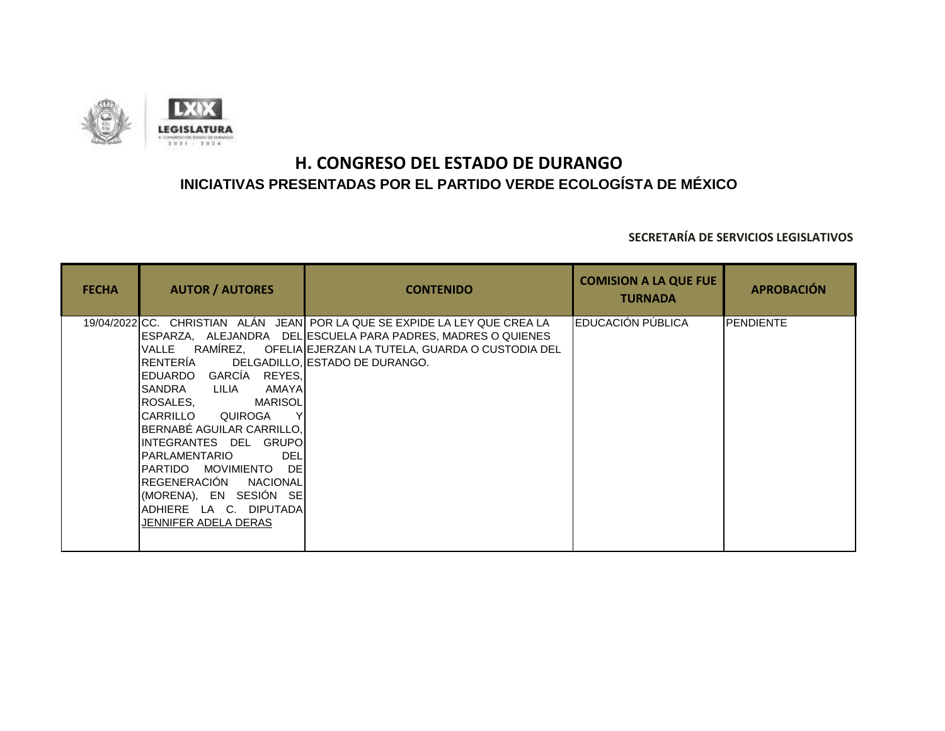

| <b>FECHA</b> | <b>AUTOR / AUTORES</b>                                                                                                                                                                                                                                                                                                                                                      | <b>CONTENIDO</b>                                                                                                                                                                                                                                 | <b>COMISION A LA QUE FUE</b><br><b>TURNADA</b> | <b>APROBACIÓN</b> |
|--------------|-----------------------------------------------------------------------------------------------------------------------------------------------------------------------------------------------------------------------------------------------------------------------------------------------------------------------------------------------------------------------------|--------------------------------------------------------------------------------------------------------------------------------------------------------------------------------------------------------------------------------------------------|------------------------------------------------|-------------------|
|              | VALLE<br><b>IRENTERIA</b><br>GARCÍA REYES,<br>IEDUARDO<br>AMAYAL<br>ISANDRA<br>LILIA<br><b>ROSALES.</b><br>MARISOL<br><b>I</b> CARRILLO QUIROGA<br>BERNABE AGUILAR CARRILLO,<br>IINTEGRANTES DEL GRUPOI<br>IPARLAMENTARIO<br>DEL<br><b>DEI</b><br>IPARTIDO MOVIMIENTO<br>REGENERACIÓN NACIONAL<br>(MORENA), EN SESIÓN SE <br>ADHIERE LA C. DIPUTADA<br>JENNIFER ADELA DERAS | 19/04/2022 CC. CHRISTIAN ALÁN JEAN POR LA QUE SE EXPIDE LA LEY QUE CREA LA<br>IESPARZA,    ALEJANDRA     DELIESCUELA PARA PADRES, MADRES O QUIENES<br>RAMÍREZ, OFELIA EJERZAN LA TUTELA, GUARDA O CUSTODIA DEL<br>DELGADILLO. ESTADO DE DURANGO. | EDUCACIÓN PÚBLICA                              | PENDIENTE         |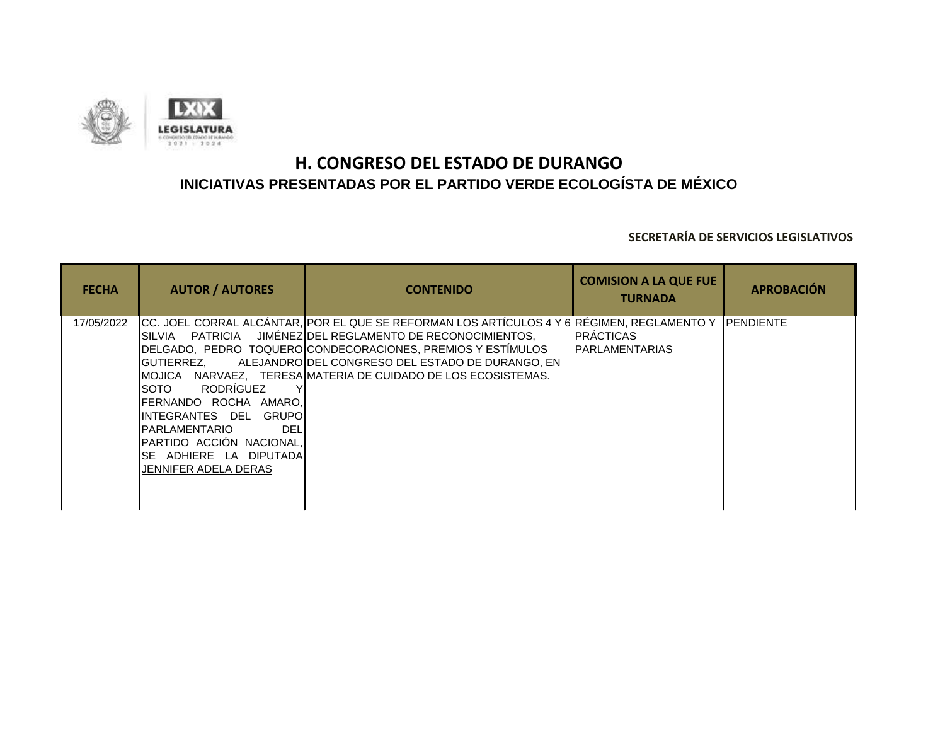

| <b>FECHA</b> | <b>AUTOR / AUTORES</b>                                                                                                                                                                                           | <b>CONTENIDO</b>                                                                                                                                                                                                                                                                                                                                                   | <b>COMISION A LA QUE FUE</b><br><b>TURNADA</b> | <b>APROBACIÓN</b> |
|--------------|------------------------------------------------------------------------------------------------------------------------------------------------------------------------------------------------------------------|--------------------------------------------------------------------------------------------------------------------------------------------------------------------------------------------------------------------------------------------------------------------------------------------------------------------------------------------------------------------|------------------------------------------------|-------------------|
| 17/05/2022   | IGUTIERREZ.<br>RODRÍGUEZ<br><b>SOTO</b><br>FERNANDO ROCHA AMARO,<br>INTEGRANTES DEL GRUPO <b>I</b><br><b>PARLAMENTARIO</b><br>DEL<br>IPARTIDO ACCIÓN NACIONAL.<br>SE ADHIERE LA DIPUTADA<br>JENNIFER ADELA DERAS | CC. JOEL CORRAL ALCÁNTAR, POR EL QUE SE REFORMAN LOS ARTÍCULOS 4 Y 6 RÉGIMEN, REGLAMENTO Y PENDIENTE<br>SILVIA PATRICIA JIMÉNEZ OEL REGLAMENTO DE RECONOCIMIENTOS,<br>DELGADO. PEDRO TOQUERO CONDECORACIONES, PREMIOS Y ESTÍMULOS<br>ALEJANDROIDEL CONGRESO DEL ESTADO DE DURANGO. EN<br><b>IMOJICA – NARVAEZ. – TERESAIMATERIA DE CUIDADO DE LOS ECOSISTEMAS.</b> | <b>IPRÁCTICAS</b><br><b>IPARLAMENTARIAS</b>    |                   |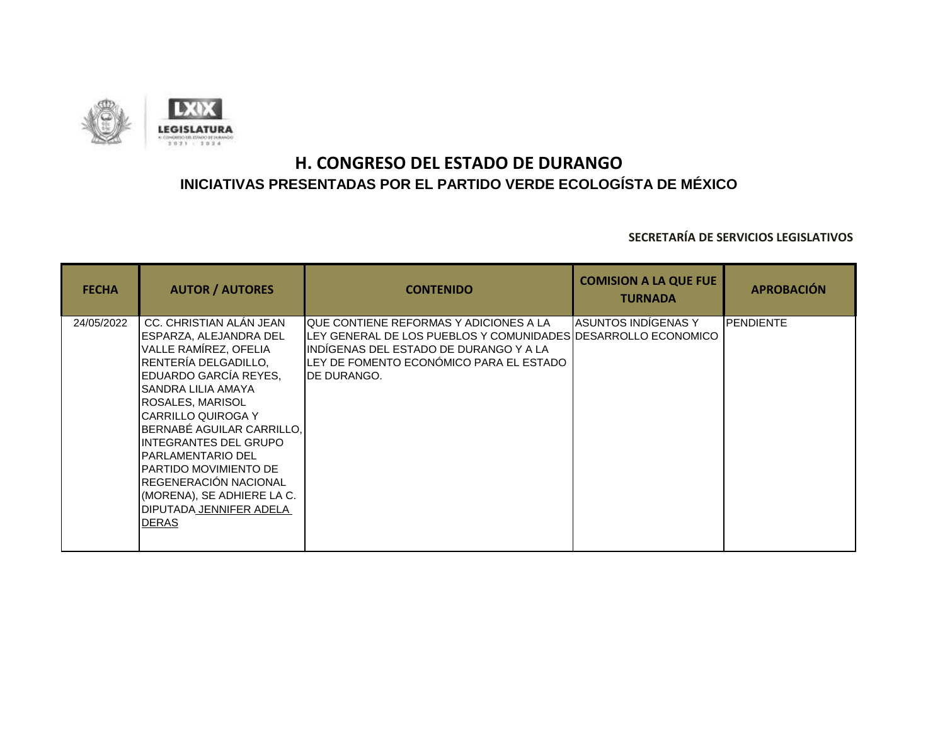

| <b>FECHA</b> | <b>AUTOR / AUTORES</b>                                                                                                                                                                                                                                                                                                                                                                                                               | <b>CONTENIDO</b>                                                                                                                                                                                                               | <b>COMISION A LA QUE FUE</b><br><b>TURNADA</b> | <b>APROBACIÓN</b> |
|--------------|--------------------------------------------------------------------------------------------------------------------------------------------------------------------------------------------------------------------------------------------------------------------------------------------------------------------------------------------------------------------------------------------------------------------------------------|--------------------------------------------------------------------------------------------------------------------------------------------------------------------------------------------------------------------------------|------------------------------------------------|-------------------|
| 24/05/2022   | CC. CHRISTIAN ALAN JEAN<br>ESPARZA, ALEJANDRA DEL<br>VALLE RAMÍREZ, OFELIA<br>RENTERÍA DELGADILLO.<br>EDUARDO GARCÍA REYES,<br>ISANDRA LILIA AMAYA<br><b>ROSALES, MARISOL</b><br><b>I</b> CARRILLO QUIROGA Y<br>BERNABÉ AGUILAR CARRILLO,<br>IINTEGRANTES DEL GRUPO<br><b>IPARLAMENTARIO DEL</b><br><b>IPARTIDO MOVIMIENTO DE</b><br>REGENERACIÓN NACIONAL<br>(MORENA), SE ADHIERE LA C.<br>IDIPUTADA JENNIFER ADELA<br><b>DERAS</b> | <b>I</b> QUE CONTIENE REFORMAS Y ADICIONES A LA<br>ILEY GENERAL DE LOS PUEBLOS Y COMUNIDADESIDESARROLLO ECONOMICO<br>IINDIGENAS DEL ESTADO DE DURANGO Y A LA<br>LEY DE FOMENTO ECONÓMICO PARA EL ESTADO<br><b>IDE DURANGO.</b> | IASUNTOS INDIGENAS Y                           | <b>PENDIENTE</b>  |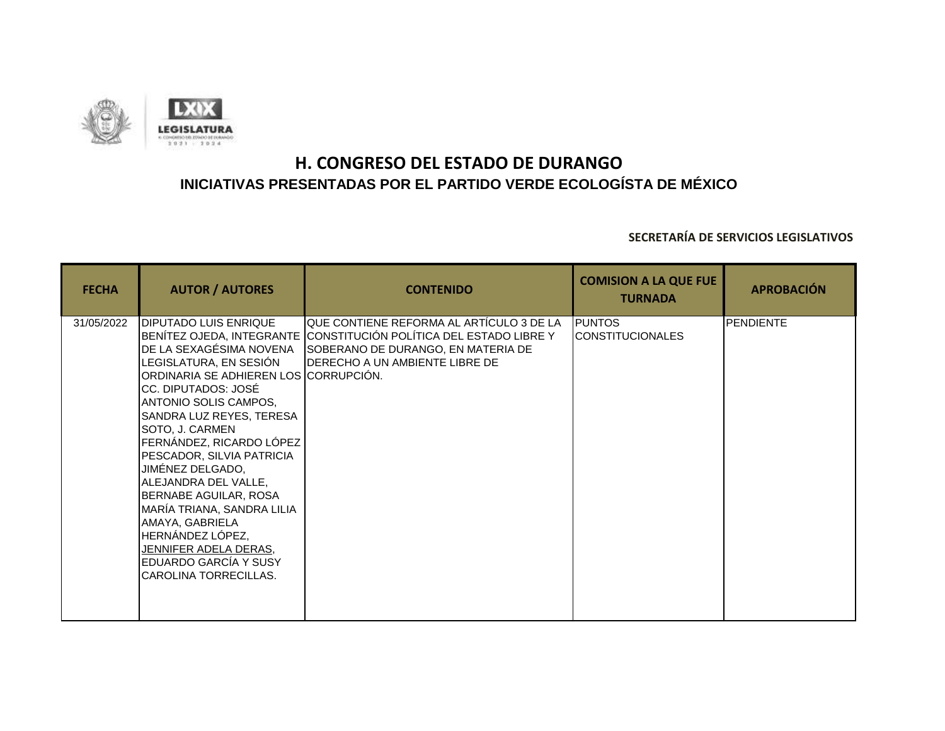

| <b>FECHA</b> | <b>AUTOR / AUTORES</b>                                                                                                                                                                                                                                                                                                                                                                                                                                                                                  | <b>CONTENIDO</b>                                                                                                                                                                                | <b>COMISION A LA QUE FUE</b><br><b>TURNADA</b> | <b>APROBACIÓN</b> |
|--------------|---------------------------------------------------------------------------------------------------------------------------------------------------------------------------------------------------------------------------------------------------------------------------------------------------------------------------------------------------------------------------------------------------------------------------------------------------------------------------------------------------------|-------------------------------------------------------------------------------------------------------------------------------------------------------------------------------------------------|------------------------------------------------|-------------------|
| 31/05/2022   | <b>DIPUTADO LUIS ENRIQUE</b><br>DE LA SEXAGÉSIMA NOVENA<br>LEGISLATURA, EN SESIÓN<br>ORDINARIA SE ADHIEREN LOS CORRUPCIÓN.<br>CC. DIPUTADOS: JOSÉ<br>ANTONIO SOLIS CAMPOS,<br>SANDRA LUZ REYES, TERESA<br>SOTO, J. CARMEN<br>FERNÁNDEZ, RICARDO LÓPEZ<br>PESCADOR, SILVIA PATRICIA<br>JIMÉNEZ DELGADO,<br>ALEJANDRA DEL VALLE,<br>BERNABE AGUILAR, ROSA<br>MARÍA TRIANA, SANDRA LILIA<br>AMAYA, GABRIELA<br>HERNÁNDEZ LÓPEZ,<br>JENNIFER ADELA DERAS,<br>EDUARDO GARCÍA Y SUSY<br>CAROLINA TORRECILLAS. | <b>I</b> QUE CONTIENE REFORMA AL ARTÍCULO 3 DE LA<br>BENÍTEZ OJEDA, INTEGRANTE CONSTITUCIÓN POLÍTICA DEL ESTADO LIBRE Y<br>SOBERANO DE DURANGO, EN MATERIA DE<br>DERECHO A UN AMBIENTE LIBRE DE | <b>PUNTOS</b><br><b>CONSTITUCIONALES</b>       | <b>PENDIENTE</b>  |